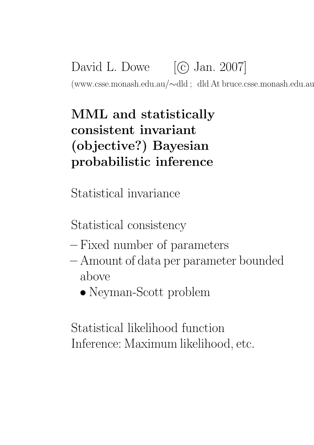David L. Dowe  $[\textcircled{c}]$  Jan. 2007] (www.csse.monash.edu.au/∼dld ; dld At bruce.csse.monash.edu.au)

# MML and statistically consistent invariant (objective?) Bayesian probabilistic inference

Statistical invariance

Statistical consistency

- Fixed number of parameters
- Amount of data per parameter bounded above
	- Neyman-Scott problem

Statistical likelihood function Inference: Maximum likelihood, etc.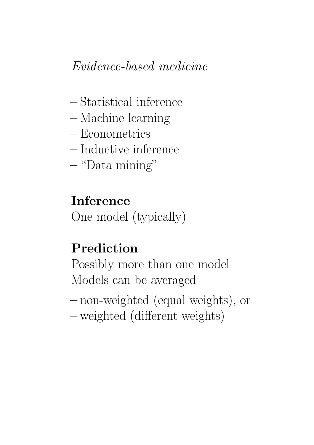### Evidence-based medicine

- Statistical inference
- Machine learning
- Econometrics
- Inductive inference
- "Data mining"

Inference One model (typically)

### Prediction

Possibly more than one model Models can be averaged

- non-weighted (equal weights), or
- weighted (different weights)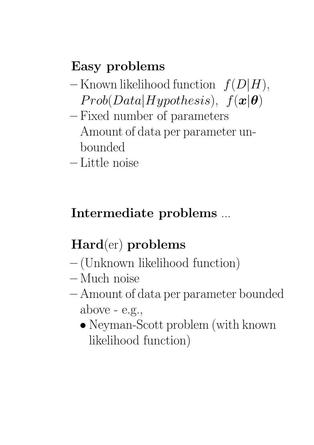# Easy problems

- $-$  Known likelihood function  $f(D|H)$ ,  $Prob(Data|Hypothesis), f(x|\theta)$
- Fixed number of parameters Amount of data per parameter unbounded
- Little noise

# Intermediate problems ...

# Hard(er) problems

- (Unknown likelihood function)
- Much noise
- Amount of data per parameter bounded above  $-$  e.g.,
	- Neyman-Scott problem (with known) likelihood function)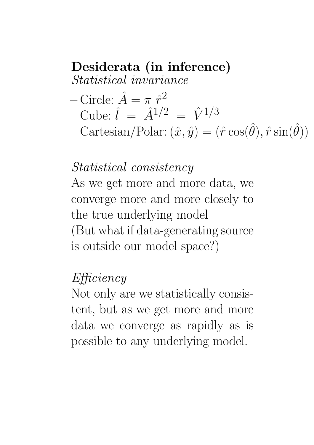### Desiderata (in inference)

Statistical invariance

- Circle:  $\hat{A} = \pi \hat{r}_1^2$
- $-\text{Cube:} \hat{i} = \hat{A}^{1/2} = \hat{V}^{1/3}$
- $-\text{Cartesian}/\text{Polar}: (\hat{x}, \hat{y}) = (\hat{r} \cos(\hat{\theta}), \hat{r} \sin(\hat{\theta}))$

#### Statistical consistency

As we get more and more data, we converge more and more closely to the true underlying model (But what if data-generating source is outside our model space?)

#### Efficiency

Not only are we statistically consistent, but as we get more and more data we converge as rapidly as is possible to any underlying model.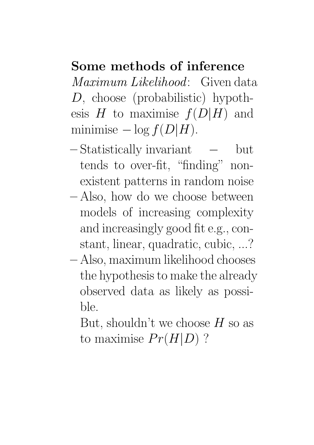#### Some methods of inference

Maximum Likelihood: Given data D, choose (probabilistic) hypothesis  $H$  to maximise  $f(D|H)$  and minimise  $-\log f(D|H)$ .

- Statistically invariant − but tends to over-fit, "finding" nonexistent patterns in random noise
- Also, how do we choose between models of increasing complexity and increasingly good fit e.g., constant, linear, quadratic, cubic, ...?
- Also, maximum likelihood chooses the hypothesis to make the already observed data as likely as possible.

But, shouldn't we choose  $H$  so as to maximise  $Pr(H|D)$ ?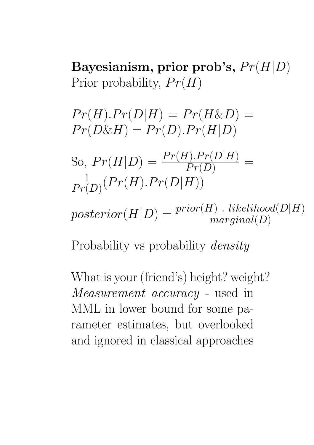Bayesianism, prior prob's,  $Pr(H|D)$ Prior probability,  $Pr(H)$ 

 $Pr(H)$ . $Pr(D|H) = Pr(H\&D)$  =  $Pr(D\&H) = Pr(D).Pr(H|D)$ 

So,  $Pr(H|D) = \frac{Pr(H).Pr(D|H)}{Pr(D)}$ = 1  $\frac{1}{Pr(D)}(Pr(H).Pr(D|H))$ 

 $posterior(H|D) = \frac{prior(H) \ . \ likelihood(D|H)}{marginal(D)}$ 

Probability vs probability *density* 

What is your (friend's) height? weight? Measurement accuracy - used in MML in lower bound for some parameter estimates, but overlooked and ignored in classical approaches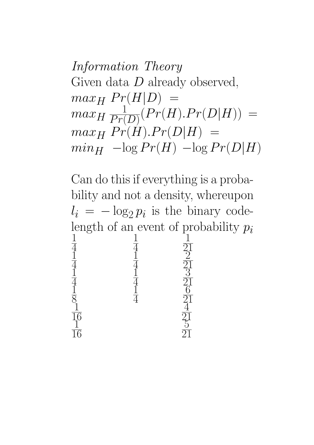Information Theory Given data  $D$  already observed,  $max_H Pr(H|D) =$  $max_{H} \frac{1}{Pr(}$  $\frac{1}{Pr(D)}(Pr(H).Pr(D|H)) =$  $max_H Pr(H)$ .  $Pr(D|H) =$  $min_H -\log Pr(H) -\log Pr(D|H)$ 

Can do this if everything is a probability and not a density, whereupon  $l_i = -\log_2 p_i$  is the binary codelength of an event of probability  $p_i$ 1 4 1 4 1 21  $\frac{1}{1}$ 4  $\frac{1}{1}$ 4  $\overline{2}$ 21  $\frac{1}{1}$ 4  $\frac{1}{1}$ 4 <u>3</u> 21  $\frac{1}{1}$ 8  $\frac{1}{1}$ 4  $\overline{6}$ 21  $\frac{1}{1}$ 16  $\overline{4}$ 21  $\frac{1}{1}$ 16  $\frac{5}{5}$ 21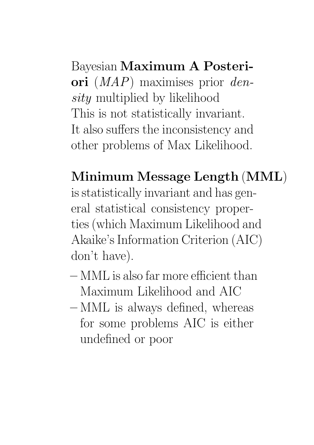Bayesian Maximum A Posteriori  $(MAP)$  maximises prior density multiplied by likelihood This is not statistically invariant. It also suffers the inconsistency and other problems of Max Likelihood.

Minimum Message Length (MML) is statistically invariant and has general statistical consistency properties (which Maximum Likelihood and Akaike's Information Criterion (AIC) don't have).

- MML is also far more efficient than Maximum Likelihood and AIC
- MML is always defined, whereas for some problems AIC is either undefined or poor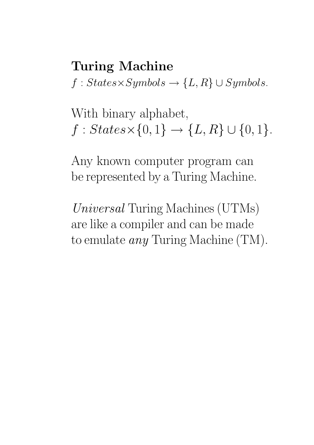## Turing Machine  $f: States \times Symbols \rightarrow \{L, R\} \cup Symbols.$

With binary alphabet,  $f : States \times \{0, 1\} \rightarrow \{L, R\} \cup \{0, 1\}.$ 

Any known computer program can be represented by a Turing Machine.

Universal Turing Machines (UTMs) are like a compiler and can be made to emulate any Turing Machine (TM).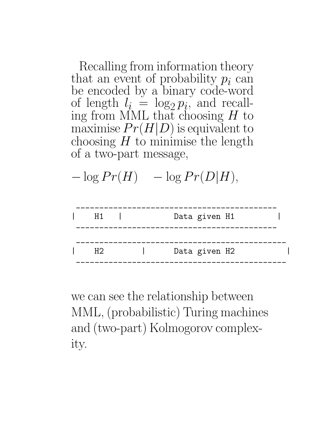Recalling from information theory that an event of probability  $p_i$  can be encoded by a binary code-word of length  $l_i = \log_2 p_i$ , and recalling from MML that choosing  $H$  to maximise  $Pr(H|D)$  is equivalent to choosing  $H$  to minimise the length of a two-part message,





we can see the relationship between MML, (probabilistic) Turing machines and (two-part) Kolmogorov complexity.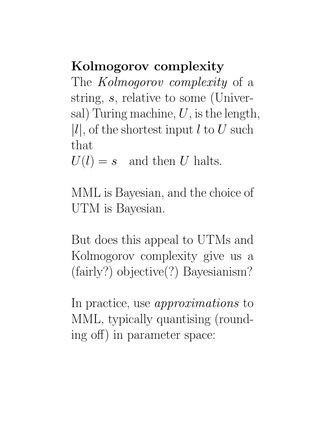### Kolmogorov complexity

The *Kolmogorov complexity* of a string, s, relative to some (Universal) Turing machine,  $U$ , is the length,  $|l|$ , of the shortest input l to U such that

 $U(l) = s$  and then U halts.

MML is Bayesian, and the choice of UTM is Bayesian.

But does this appeal to UTMs and Kolmogorov complexity give us a (fairly?) objective(?) Bayesianism?

In practice, use *approximations* to MML, typically quantising (rounding off) in parameter space: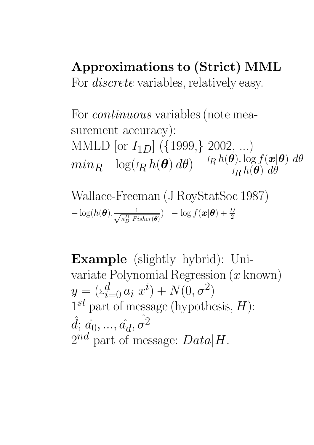#### Approximations to (Strict) MML For *discrete* variables, relatively easy.

For *continuous* variables (note measurement accuracy): MMLD [or  $I_{1D}$ ] ({1999,} 2002, ...)  $min_R -\text{log} (\iota_R\,h(\bm{\theta})\,d\theta) -^I$  $R h(\vec{\theta})$ .  $\log f(\mathbf{x}|\theta) d\theta$  $\sqrt{2}$  $R h(\vec{\theta}) d\theta$ 

Wallace-Freeman (J RoyStatSoc 1987)  
- log(
$$
h(\boldsymbol{\theta})
$$
. $\frac{1}{\sqrt{\kappa_D^D \text{ Fisher}(\boldsymbol{\theta})}}$ ) - log  $f(\boldsymbol{x}|\boldsymbol{\theta}) + \frac{D}{2}$ 

Example (slightly hybrid): Univariate Polynomial Regression  $(x \text{ known})$  $y = (\sum_{i=0}^{d} a_i x^i) + N(0, \sigma^2)$  $1^{st}$  part of message (hypothesis,  $H$ ):  $\hat{d};\,\hat{a_0},...,\hat{a_d},\hat{\sigma^2}$  $2^{nd}$  part of message:  $Data|H$ .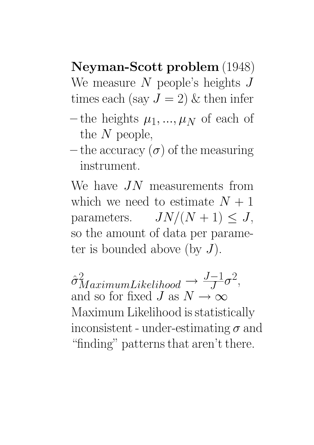Neyman-Scott problem (1948)

We measure  $N$  people's heights  $J$ times each (say  $J = 2$ ) & then infer

- $-\,$  the heights  $\mu_1, ..., \mu_N$  of each of the  $N$  people,
- the accuracy  $(\sigma)$  of the measuring instrument.

We have  $JN$  measurements from which we need to estimate  $N + 1$ parameters.  $JN/(N+1) \leq J$ , so the amount of data per parameter is bounded above (by  $J$ ).

 $\hat{\sigma}_{MaximumLikelihood}^2 \rightarrow \frac{J-1}{J}\sigma^2,$ and so for fixed J as  $N \to \infty$ Maximum Likelihood is statistically inconsistent - under-estimating  $\sigma$  and "finding" patterns that aren't there.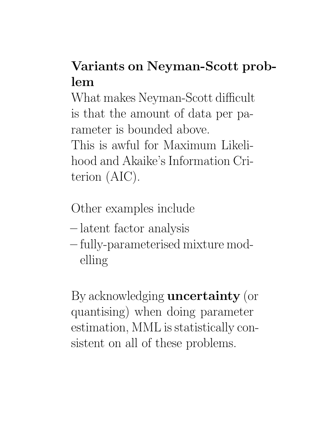# Variants on Neyman-Scott problem

What makes Neyman-Scott difficult is that the amount of data per parameter is bounded above. This is awful for Maximum Likelihood and Akaike's Information Criterion (AIC).

Other examples include

- latent factor analysis
- fully-parameterised mixture modelling

By acknowledging uncertainty (or quantising) when doing parameter estimation, MML is statistically consistent on all of these problems.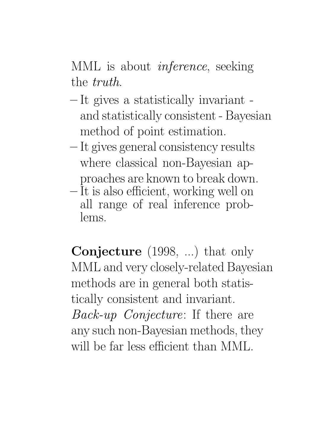MML is about *inference*, seeking the truth.

- It gives a statistically invariant and statistically consistent - Bayesian method of point estimation.
- It gives general consistency results where classical non-Bayesian approaches are known to break down.
- It is also efficient, working well on all range of real inference problems.

Conjecture (1998, ...) that only MML and very closely-related Bayesian methods are in general both statistically consistent and invariant. Back-up Conjecture: If there are any such non-Bayesian methods, they will be far less efficient than MML.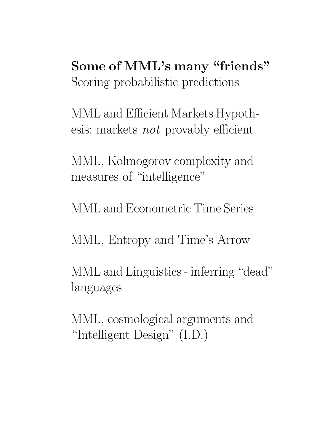Some of MML's many "friends" Scoring probabilistic predictions

MML and Efficient Markets Hypothesis: markets not provably efficient

MML, Kolmogorov complexity and measures of "intelligence"

MML and Econometric Time Series

MML, Entropy and Time's Arrow

MML and Linguistics - inferring "dead" languages

MML, cosmological arguments and "Intelligent Design" (I.D.)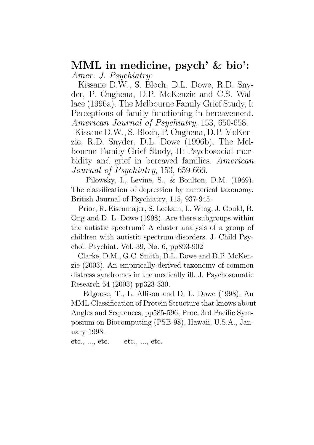#### MML in medicine, psych' & bio': Amer. J. Psychiatry:

Kissane D.W., S. Bloch, D.L. Dowe, R.D. Snyder, P. Onghena, D.P. McKenzie and C.S. Wallace (1996a). The Melbourne Family Grief Study, I: Perceptions of family functioning in bereavement. American Journal of Psychiatry, 153, 650-658.

Kissane D.W., S. Bloch, P. Onghena, D.P. McKenzie, R.D. Snyder, D.L. Dowe (1996b). The Melbourne Family Grief Study, II: Psychosocial morbidity and grief in bereaved families. American Journal of Psychiatry, 153, 659-666.

Pilowsky, I., Levine, S., & Boulton, D.M. (1969). The classification of depression by numerical taxonomy. British Journal of Psychiatry, 115, 937-945.

Prior, R. Eisenmajer, S. Leekam, L. Wing, J. Gould, B. Ong and D. L. Dowe (1998). Are there subgroups within the autistic spectrum? A cluster analysis of a group of children with autistic spectrum disorders. J. Child Psychol. Psychiat. Vol. 39, No. 6, pp893-902

Clarke, D.M., G.C. Smith, D.L. Dowe and D.P. McKenzie (2003). An empirically-derived taxonomy of common distress syndromes in the medically ill. J. Psychosomatic Research 54 (2003) pp323-330.

Edgoose, T., L. Allison and D. L. Dowe (1998). An MML Classification of Protein Structure that knows about Angles and Sequences, pp585-596, Proc. 3rd Pacific Symposium on Biocomputing (PSB-98), Hawaii, U.S.A., January 1998.

etc., ..., etc. etc., ..., etc.